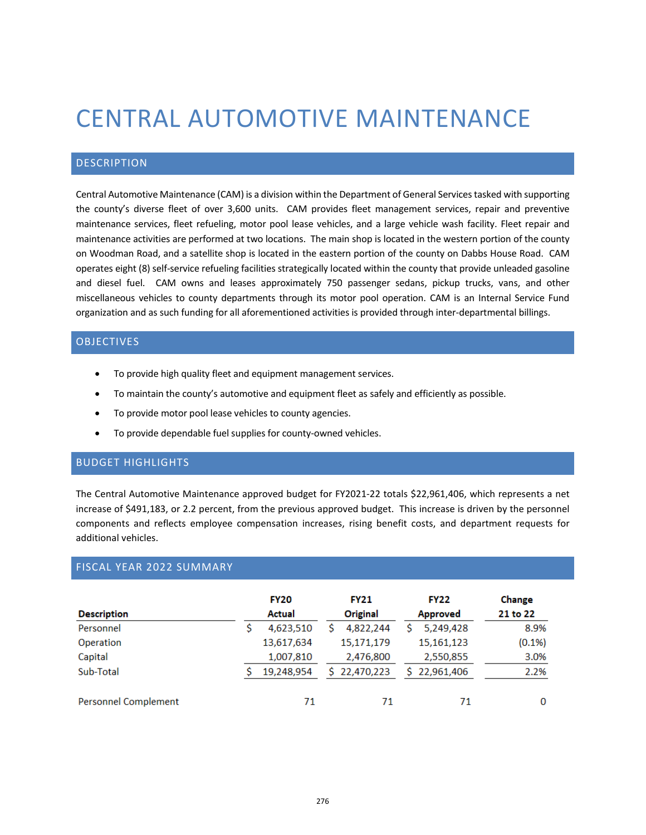# CENTRAL AUTOMOTIVE MAINTENANCE

### DESCRIPTION

Central Automotive Maintenance (CAM) is a division within the Department of General Services tasked with supporting the county's diverse fleet of over 3,600 units. CAM provides fleet management services, repair and preventive maintenance services, fleet refueling, motor pool lease vehicles, and a large vehicle wash facility. Fleet repair and maintenance activities are performed at two locations. The main shop is located in the western portion of the county on Woodman Road, and a satellite shop is located in the eastern portion of the county on Dabbs House Road. CAM operates eight (8) self-service refueling facilities strategically located within the county that provide unleaded gasoline and diesel fuel. CAM owns and leases approximately 750 passenger sedans, pickup trucks, vans, and other miscellaneous vehicles to county departments through its motor pool operation. CAM is an Internal Service Fund organization and as such funding for all aforementioned activities is provided through inter-departmental billings.

## **OBJECTIVES**

- To provide high quality fleet and equipment management services.
- To maintain the county's automotive and equipment fleet as safely and efficiently as possible.
- To provide motor pool lease vehicles to county agencies.
- To provide dependable fuel supplies for county-owned vehicles.

#### BUDGET HIGHLIGHTS

The Central Automotive Maintenance approved budget for FY2021-22 totals \$22,961,406, which represents a net increase of \$491,183, or 2.2 percent, from the previous approved budget. This increase is driven by the personnel components and reflects employee compensation increases, rising benefit costs, and department requests for additional vehicles.

#### FISCAL YEAR 2022 SUMMARY

|                      | <b>FY20</b>   | <b>FY21</b>      | <b>FY22</b>  | Change    |  |
|----------------------|---------------|------------------|--------------|-----------|--|
| <b>Description</b>   | <b>Actual</b> | Original         | Approved     | 21 to 22  |  |
| Personnel            | 4,623,510     | 4,822,244        | 5,249,428    | 8.9%      |  |
| Operation            | 13,617,634    | 15,171,179       | 15,161,123   | $(0.1\%)$ |  |
| Capital              | 1,007,810     | 2,476,800        | 2,550,855    | 3.0%      |  |
| Sub-Total            | 19,248,954    | 22,470,223<br>S. | \$22,961,406 | 2.2%      |  |
| Personnel Complement | 71            | 71               | 71           | 0         |  |